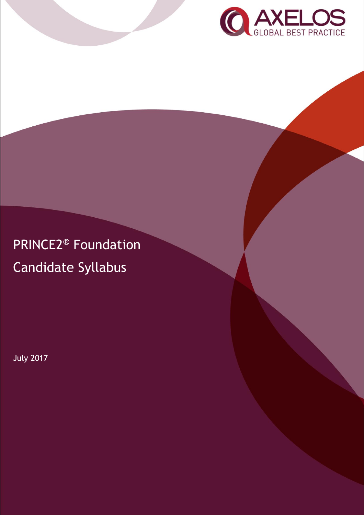

PRINCE2® Foundation Candidate Syllabus

July 2017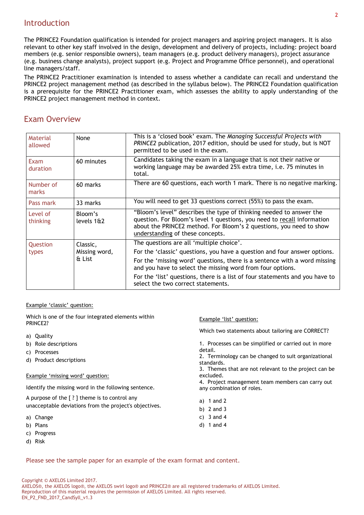## **Introduction**

The PRINCE2 Foundation qualification is intended for project managers and aspiring project managers. It is also relevant to other key staff involved in the design, development and delivery of projects, including: project board members (e.g. senior responsible owners), team managers (e.g. product delivery managers), project assurance (e.g. business change analysts), project support (e.g. Project and Programme Office personnel), and operational line managers/staff.

The PRINCE2 Practitioner examination is intended to assess whether a candidate can recall and understand the PRINCE2 project management method (as described in the syllabus below). The PRINCE2 Foundation qualification is a prerequisite for the PRINCE2 Practitioner exam, which assesses the ability to apply understanding of the PRINCE2 project management method in context.

## Exam Overview

| Material<br>allowed     | None                    | This is a 'closed book' exam. The Managing Successful Projects with<br>PRINCE2 publication, 2017 edition, should be used for study, but is NOT<br>permitted to be used in the exam.                                                                       |
|-------------------------|-------------------------|-----------------------------------------------------------------------------------------------------------------------------------------------------------------------------------------------------------------------------------------------------------|
| <b>Exam</b><br>duration | 60 minutes              | Candidates taking the exam in a language that is not their native or<br>working language may be awarded 25% extra time, i.e. 75 minutes in<br>total.                                                                                                      |
| Number of<br>marks      | 60 marks                | There are 60 questions, each worth 1 mark. There is no negative marking.                                                                                                                                                                                  |
| Pass mark               | 33 marks                | You will need to get 33 questions correct (55%) to pass the exam.                                                                                                                                                                                         |
| Level of<br>thinking    | Bloom's<br>levels 1&2   | "Bloom's level" describes the type of thinking needed to answer the<br>question. For Bloom's level 1 questions, you need to recall information<br>about the PRINCE2 method. For Bloom's 2 questions, you need to show<br>understanding of these concepts. |
| Question                | Classic,                | The questions are all 'multiple choice'.                                                                                                                                                                                                                  |
| types                   | Missing word,<br>& List | For the 'classic' questions, you have a question and four answer options.                                                                                                                                                                                 |
|                         |                         | For the 'missing word' questions, there is a sentence with a word missing<br>and you have to select the missing word from four options.                                                                                                                   |
|                         |                         | For the 'list' questions, there is a list of four statements and you have to<br>select the two correct statements.                                                                                                                                        |

#### Example 'classic' question:

c) Progress d) Risk

Which is one of the four integrated elements within PRINCE2? a) Quality b) Role descriptions c) Processes d) Product descriptions Example 'missing word' question: Identify the missing word in the following sentence. A purpose of the [ ? ] theme is to control any unacceptable deviations from the project's objectives. a) Change b) Plans Example 'list' question: Which two statements about tailoring are CORRECT? 1. Processes can be simplified or carried out in more detail. 2. Terminology can be changed to suit organizational standards. 3. Themes that are not relevant to the project can be excluded. 4. Project management team members can carry out any combination of roles. a) 1 and 2 b) 2 and 3 c) 3 and 4 d) 1 and 4

Please see the sample paper for an example of the exam format and content.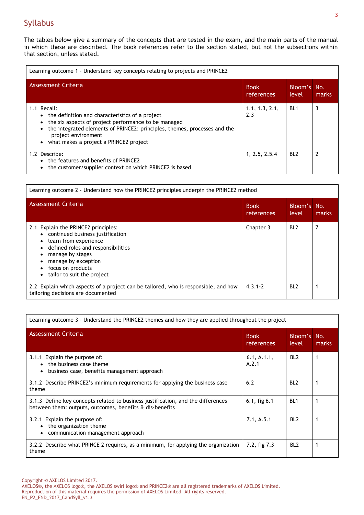## Syllabus

The tables below give a summary of the concepts that are tested in the exam, and the main parts of the manual in which these are described. The book references refer to the section stated, but not the subsections within that section, unless stated.

| Learning outcome 1 - Understand key concepts relating to projects and PRINCE2                                                                                                                                                                                                                                 |                           |                      |       |
|---------------------------------------------------------------------------------------------------------------------------------------------------------------------------------------------------------------------------------------------------------------------------------------------------------------|---------------------------|----------------------|-------|
| Assessment Criteria                                                                                                                                                                                                                                                                                           | <b>Book</b><br>references | Bloom's No.<br>level | marks |
| 1.1 Recall:<br>• the definition and characteristics of a project<br>the six aspects of project performance to be managed<br>$\bullet$<br>the integrated elements of PRINCE2: principles, themes, processes and the<br>$\bullet$<br>project environment<br>what makes a project a PRINCE2 project<br>$\bullet$ | 1.1, 1.3, 2.1,<br>2.3     | BL <sub>1</sub>      | 3     |
| 1.2 Describe:<br>• the features and benefits of PRINCE2<br>the customer/supplier context on which PRINCE2 is based                                                                                                                                                                                            | 1, 2.5, 2.5.4             | BL <sub>2</sub>      | 2     |

| Learning outcome 2 - Understand how the PRINCE2 principles underpin the PRINCE2 method                                                                                                                                                 |                           |                      |       |
|----------------------------------------------------------------------------------------------------------------------------------------------------------------------------------------------------------------------------------------|---------------------------|----------------------|-------|
| <b>Assessment Criteria</b>                                                                                                                                                                                                             | <b>Book</b><br>references | Bloom's No.<br>level | marks |
| 2.1 Explain the PRINCE2 principles:<br>• continued business justification<br>learn from experience<br>defined roles and responsibilities<br>manage by stages<br>manage by exception<br>focus on products<br>tailor to suit the project | Chapter 3                 | BL <sub>2</sub>      | 7     |
| 2.2 Explain which aspects of a project can be tailored, who is responsible, and how<br>tailoring decisions are documented                                                                                                              | $4.3.1 - 2$               | BL <sub>2</sub>      |       |

| Learning outcome 3 - Understand the PRINCE2 themes and how they are applied throughout the project                                           |                           |                      |       |
|----------------------------------------------------------------------------------------------------------------------------------------------|---------------------------|----------------------|-------|
| Assessment Criteria                                                                                                                          | <b>Book</b><br>references | Bloom's No.<br>level | marks |
| 3.1.1 Explain the purpose of:<br>the business case theme<br>$\bullet$<br>business case, benefits management approach<br>$\bullet$            | 6.1, A.1.1,<br>A.2.1      | BL <sub>2</sub>      |       |
| 3.1.2 Describe PRINCE2's minimum requirements for applying the business case<br>theme                                                        | 6.2                       | BL <sub>2</sub>      |       |
| 3.1.3 Define key concepts related to business justification, and the differences<br>between them: outputs, outcomes, benefits & dis-benefits | $6.1,$ fig $6.1$          | BL <sub>1</sub>      |       |
| 3.2.1 Explain the purpose of:<br>the organization theme<br>$\bullet$<br>communication management approach<br>$\bullet$                       | 7.1, A.5.1                | BL <sub>2</sub>      |       |
| 3.2.2 Describe what PRINCE 2 requires, as a minimum, for applying the organization<br>theme                                                  | 7.2, fig 7.3              | BL <sub>2</sub>      |       |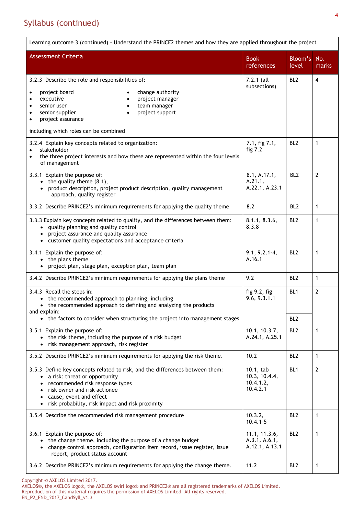# Syllabus (continued)

| Learning outcome 3 (continued) - Understand the PRINCE2 themes and how they are applied throughout the project                                                                                                                                                        |                                                     |                  |                |  |
|-----------------------------------------------------------------------------------------------------------------------------------------------------------------------------------------------------------------------------------------------------------------------|-----------------------------------------------------|------------------|----------------|--|
| <b>Assessment Criteria</b>                                                                                                                                                                                                                                            | <b>Book</b><br>references                           | Bloom's<br>level | No.<br>marks   |  |
| 3.2.3 Describe the role and responsibilities of:                                                                                                                                                                                                                      | $7.2.1$ (all                                        | BL <sub>2</sub>  | $\overline{4}$ |  |
| project board<br>change authority<br>executive<br>project manager<br>$\bullet$<br>senior user<br>team manager<br>$\bullet$<br>senior supplier<br>project support<br>$\bullet$<br>$\bullet$<br>project assurance<br>$\bullet$<br>including which roles can be combined | subsections)                                        |                  |                |  |
| 3.2.4 Explain key concepts related to organization:<br>stakeholder<br>$\bullet$<br>the three project interests and how these are represented within the four levels<br>$\bullet$<br>of management                                                                     | 7.1, fig 7.1,<br>fig $7.2$                          | BL <sub>2</sub>  | $\mathbf{1}$   |  |
| 3.3.1 Explain the purpose of:<br>$\bullet$ the quality theme (8.1),<br>product description, project product description, quality management<br>approach, quality register                                                                                             | 8.1, A.17.1,<br>A.21.1,<br>A.22.1, A.23.1           | BL <sub>2</sub>  | $\overline{2}$ |  |
| 3.3.2 Describe PRINCE2's minimum requirements for applying the quality theme                                                                                                                                                                                          | 8.2                                                 | BL <sub>2</sub>  | $\mathbf{1}$   |  |
| 3.3.3 Explain key concepts related to quality, and the differences between them:<br>• quality planning and quality control<br>• project assurance and quality assurance<br>• customer quality expectations and acceptance criteria                                    | 8.1.1, 8.3.6,<br>8.3.8                              | BL <sub>2</sub>  | $\mathbf{1}$   |  |
| 3.4.1 Explain the purpose of:<br>• the plans theme<br>project plan, stage plan, exception plan, team plan                                                                                                                                                             | $9.1, 9.2.1 - 4,$<br>A.16.1                         | BL <sub>2</sub>  | $\mathbf{1}$   |  |
| 3.4.2 Describe PRINCE2's minimum requirements for applying the plans theme                                                                                                                                                                                            | 9.2                                                 | BL <sub>2</sub>  | 1              |  |
| 3.4.3 Recall the steps in:<br>• the recommended approach to planning, including<br>• the recommended approach to defining and analyzing the products<br>and explain:                                                                                                  | fig 9.2, fig<br>9.6, 9.3.1.1                        | BL <sub>1</sub>  | $\overline{2}$ |  |
| • the factors to consider when structuring the project into management stages                                                                                                                                                                                         |                                                     | BL <sub>2</sub>  |                |  |
| 3.5.1 Explain the purpose of:<br>• the risk theme, including the purpose of a risk budget<br>• risk management approach, risk register                                                                                                                                | 10.1, 10.3.7,<br>A.24.1, A.25.1                     | BL <sub>2</sub>  | $\mathbf{1}$   |  |
| 3.5.2 Describe PRINCE2's minimum requirements for applying the risk theme.                                                                                                                                                                                            | 10.2                                                | BL <sub>2</sub>  | $\mathbf{1}$   |  |
| 3.5.3 Define key concepts related to risk, and the differences between them:<br>• a risk: threat or opportunity<br>recommended risk response types<br>risk owner and risk actionee<br>cause, event and effect<br>risk probability, risk impact and risk proximity     | 10.1, tab<br>10.3, 10.4.4,<br>10.4.1.2,<br>10.4.2.1 | BL <sub>1</sub>  | 2              |  |
| 3.5.4 Describe the recommended risk management procedure                                                                                                                                                                                                              | 10.3.2,<br>$10.4.1 - 5$                             | BL <sub>2</sub>  | 1              |  |
| 3.6.1 Explain the purpose of:<br>• the change theme, including the purpose of a change budget<br>• change control approach, configuration item record, issue register, issue<br>report, product status account                                                        | 11.1, 11.3.6,<br>A.3.1, A.6.1,<br>A.12.1, A.13.1    | BL <sub>2</sub>  | $\mathbf{1}$   |  |
| 3.6.2 Describe PRINCE2's minimum requirements for applying the change theme.                                                                                                                                                                                          | 11.2                                                | BL <sub>2</sub>  | 1              |  |

Copyright © AXELOS Limited 2017. AXELOS®, the AXELOS logo®, the AXELOS swirl logo® and PRINCE2® are all registered trademarks of AXELOS Limited. Reproduction of this material requires the permission of AXELOS Limited. All rights reserved. EN\_P2\_FND\_2017\_CandSyll\_v1.3